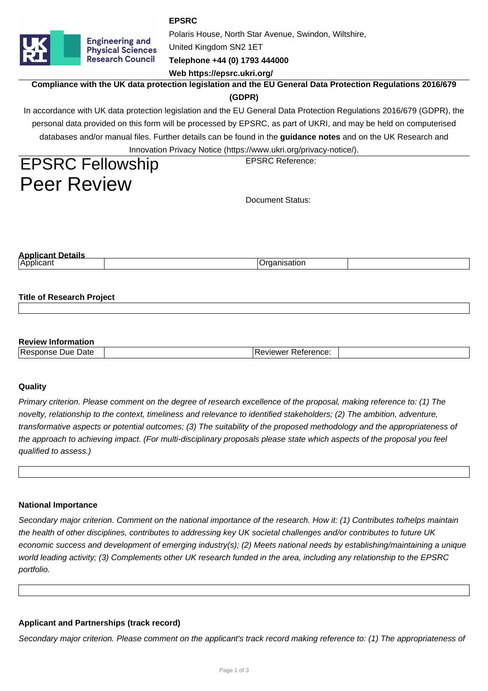**EPSRC**



United Kingdom SN2 1ET

**Telephone +44 (0) 1793 444000**

**Web https://epsrc.ukri.org/**

**Compliance with the UK data protection legislation and the EU General Data Protection Regulations 2016/679**

Polaris House, North Star Avenue, Swindon, Wiltshire,

# **(GDPR)**

In accordance with UK data protection legislation and the EU General Data Protection Regulations 2016/679 (GDPR), the personal data provided on this form will be processed by EPSRC, as part of UKRI, and may be held on computerised databases and/or manual files. Further details can be found in the **guidance notes** and on the UK Research and Innovation Privacy Notice (https://www.ukri.org/privacy-notice/).

# EPSRC Fellowship Peer Review

Document Status:

EPSRC Reference:

| Nopl <sup>i</sup> |  |
|-------------------|--|
| . .<br>∣Applıcant |  |
|                   |  |

# **Title of Research Project**

## **Review Information**

| _____                            |                                  |  |
|----------------------------------|----------------------------------|--|
| -<br>Date<br>Jue<br>Res<br>700 U | .<br>---<br>∙ererence.<br>`\/\/⊩ |  |
|                                  |                                  |  |

# **Quality**

Primary criterion. Please comment on the degree of research excellence of the proposal, making reference to: (1) The novelty, relationship to the context, timeliness and relevance to identified stakeholders; (2) The ambition, adventure, transformative aspects or potential outcomes; (3) The suitability of the proposed methodology and the appropriateness of the approach to achieving impact. (For multi-disciplinary proposals please state which aspects of the proposal you feel qualified to assess.)

#### **National Importance**

Secondary major criterion. Comment on the national importance of the research. How it: (1) Contributes to/helps maintain the health of other disciplines, contributes to addressing key UK societal challenges and/or contributes to future UK economic success and development of emerging industry(s); (2) Meets national needs by establishing/maintaining a unique world leading activity; (3) Complements other UK research funded in the area, including any relationship to the EPSRC portfolio.

# **Applicant and Partnerships (track record)**

Secondary major criterion. Please comment on the applicant's track record making reference to: (1) The appropriateness of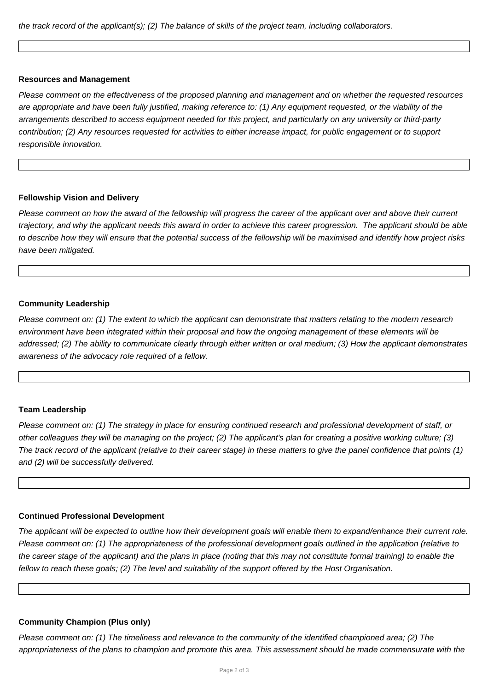the track record of the applicant(s); (2) The balance of skills of the project team, including collaborators.

#### **Resources and Management**

Please comment on the effectiveness of the proposed planning and management and on whether the requested resources are appropriate and have been fully justified, making reference to: (1) Any equipment requested, or the viability of the arrangements described to access equipment needed for this project, and particularly on any university or third-party contribution; (2) Any resources requested for activities to either increase impact, for public engagement or to support responsible innovation.

#### **Fellowship Vision and Delivery**

Please comment on how the award of the fellowship will progress the career of the applicant over and above their current trajectory, and why the applicant needs this award in order to achieve this career progression. The applicant should be able to describe how they will ensure that the potential success of the fellowship will be maximised and identify how project risks have been mitigated.

# **Community Leadership**

Please comment on: (1) The extent to which the applicant can demonstrate that matters relating to the modern research environment have been integrated within their proposal and how the ongoing management of these elements will be addressed; (2) The ability to communicate clearly through either written or oral medium; (3) How the applicant demonstrates awareness of the advocacy role required of a fellow.

# **Team Leadership**

Please comment on: (1) The strategy in place for ensuring continued research and professional development of staff, or other colleagues they will be managing on the project; (2) The applicant's plan for creating a positive working culture; (3) The track record of the applicant (relative to their career stage) in these matters to give the panel confidence that points (1) and (2) will be successfully delivered.

#### **Continued Professional Development**

The applicant will be expected to outline how their development goals will enable them to expand/enhance their current role. Please comment on: (1) The appropriateness of the professional development goals outlined in the application (relative to the career stage of the applicant) and the plans in place (noting that this may not constitute formal training) to enable the fellow to reach these goals; (2) The level and suitability of the support offered by the Host Organisation.

#### **Community Champion (Plus only)**

Please comment on: (1) The timeliness and relevance to the community of the identified championed area; (2) The appropriateness of the plans to champion and promote this area. This assessment should be made commensurate with the